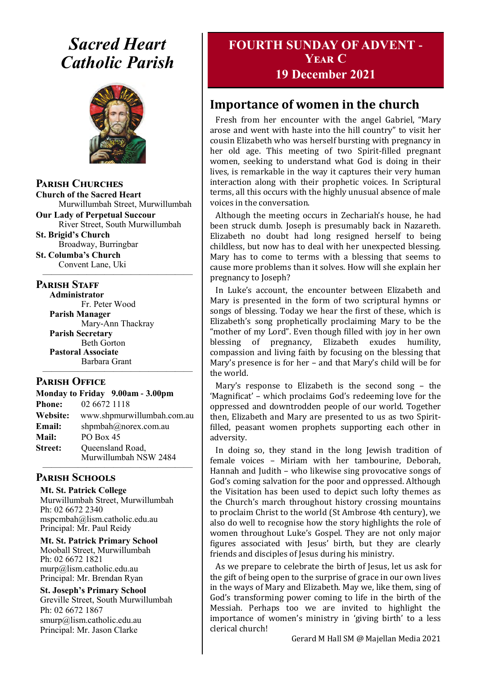# *Sacred Heart Catholic Parish*



**Parish Churches**

**Church of the Sacred Heart** Murwillumbah Street, Murwillumbah

**Our Lady of Perpetual Succour** River Street, South Murwillumbah

**St. Brigid's Church** Broadway, Burringbar **St. Columba's Church**

Convent Lane, Uki —————————————————

#### **PARISH STAFF**

**Administrator** Fr. Peter Wood **Parish Manager** Mary-Ann Thackray **Parish Secretary** Beth Gorton **Pastoral Associate** Barbara Grant —————————————————

#### **Parish Office**

| Monday to Friday 9.00am - 3.00pm |                            |
|----------------------------------|----------------------------|
| <b>Phone:</b>                    | 02 6672 1118               |
| <b>Website:</b>                  | www.shpmurwillumbah.com.au |
| Email:                           | shpmbah@norex.com.au       |
| <b>Mail:</b>                     | PO Box 45                  |
| <b>Street:</b>                   | Queensland Road,           |
|                                  | Murwillumbah NSW 2484      |

#### ————————————————— **Parish Schools**

**Mt. St. Patrick College** Murwillumbah Street, Murwillumbah Ph: 02 6672 2340 mspcmbah@lism.catholic.edu.au Principal: Mr. Paul Reidy

**Mt. St. Patrick Primary School** Mooball Street, Murwillumbah Ph: 02 6672 1821 murp@lism.catholic.edu.au Principal: Mr. Brendan Ryan

**St. Joseph's Primary School** Greville Street, South Murwillumbah Ph: 02 6672 1867 smurp@lism.catholic.edu.au Principal: Mr. Jason Clarke

# **FOURTH SUNDAY OF ADVENT - Year C**

### **19 December 2021**

# **Importance of women in the church**

Fresh from her encounter with the angel Gabriel, "Mary arose and went with haste into the hill country" to visit her cousin Elizabeth who was herself bursting with pregnancy in her old age. This meeting of two Spirit-filled pregnant women, seeking to understand what God is doing in their lives, is remarkable in the way it captures their very human interaction along with their prophetic voices. In Scriptural terms, all this occurs with the highly unusual absence of male voices in the conversation.

Although the meeting occurs in Zechariah's house, he had been struck dumb. Joseph is presumably back in Nazareth. Elizabeth no doubt had long resigned herself to being childless, but now has to deal with her unexpected blessing. Mary has to come to terms with a blessing that seems to cause more problems than it solves. How will she explain her pregnancy to Joseph?

In Luke's account, the encounter between Elizabeth and Mary is presented in the form of two scriptural hymns or songs of blessing. Today we hear the first of these, which is Elizabeth's song prophetically proclaiming Mary to be the "mother of my Lord". Even though filled with joy in her own blessing of pregnancy, Elizabeth exudes humility, compassion and living faith by focusing on the blessing that Mary's presence is for her – and that Mary's child will be for the world.

Mary's response to Elizabeth is the second song – the 'Magnificat' – which proclaims God's redeeming love for the oppressed and downtrodden people of our world. Together then, Elizabeth and Mary are presented to us as two Spiritfilled, peasant women prophets supporting each other in adversity.

In doing so, they stand in the long Jewish tradition of female voices – Miriam with her tambourine, Deborah, Hannah and Judith – who likewise sing provocative songs of God's coming salvation for the poor and oppressed. Although the Visitation has been used to depict such lofty themes as the Church's march throughout history crossing mountains to proclaim Christ to the world (St Ambrose 4th century), we also do well to recognise how the story highlights the role of women throughout Luke's Gospel. They are not only major figures associated with Jesus' birth, but they are clearly friends and disciples of Jesus during his ministry.

As we prepare to celebrate the birth of Jesus, let us ask for the gift of being open to the surprise of grace in our own lives in the ways of Mary and Elizabeth. May we, like them, sing of God's transforming power coming to life in the birth of the Messiah. Perhaps too we are invited to highlight the importance of women's ministry in 'giving birth' to a less clerical church!

Gerard M Hall SM @ Majellan Media 2021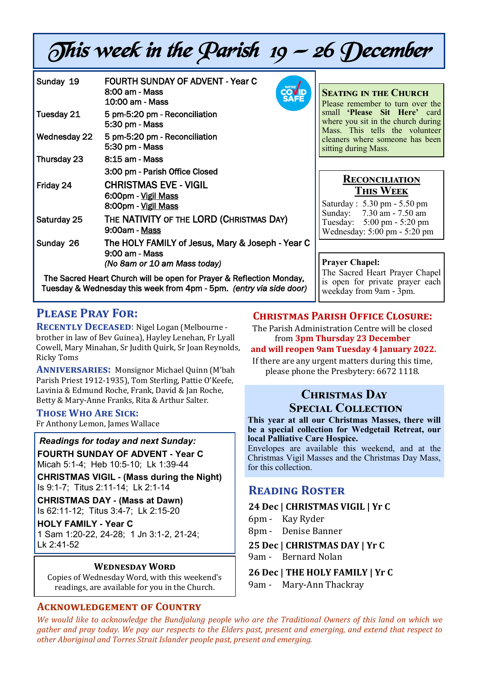# This week in the Parish 19 — 26 December

| Sunday 19    | <b>FOURTH SUNDAY OF ADVENT - Year C</b><br>8:00 am - Mass<br>10:00 am - Mass                       |
|--------------|----------------------------------------------------------------------------------------------------|
| Tuesday 21   | 5 pm-5:20 pm - Reconciliation<br>5:30 pm - Mass                                                    |
| Wednesday 22 | 5 pm-5:20 pm - Reconciliation<br>5:30 pm - Mass                                                    |
| Thursday 23  | 8:15 am - Mass                                                                                     |
|              | 3:00 pm - Parish Office Closed                                                                     |
| Friday 24    | <b>CHRISTMAS EVE - VIGIL</b><br>6:00pm - Vigil Mass<br>8:00pm - Vigil Mass                         |
| Saturday 25  | THE NATIVITY OF THE LORD (CHRISTMAS DAY)<br>9:00am - Mass                                          |
| Sunday 26    | The HOLY FAMILY of Jesus, Mary & Joseph - Year C<br>9:00 am - Mass<br>(No 8am or 10 am Mass today) |
|              | The Sacred Heart Church will be open for Praver & Reflection Monday.                               |

The Sacred Heart Church will be open for Prayer & Reflection Monday, Tuesday & Wednesday this week from 4pm - 5pm. *(entry via side door)*

# **Please Pray For:**

**RECENTLY DECEASED:** Nigel Logan (Melbourne brother in law of Bev Guinea), Hayley Lenehan, Fr Lyall Cowell, Mary Minahan, Sr Judith Quirk, Sr Joan Reynolds, Ricky Toms

**Anniversaries:** Monsignor Michael Quinn (M'bah Parish Priest 1912-1935), Tom Sterling, Pattie O'Keefe, Lavinia & Edmund Roche, Frank, David & Jan Roche, Betty & Mary-Anne Franks, Rita & Arthur Salter.

#### **Those Who Are Sick:**

Fr Anthony Lemon, James Wallace

*Readings for today and next Sunday:*  **FOURTH SUNDAY OF ADVENT - Year C**  Micah 5:1-4; Heb 10:5-10; Lk 1:39-44

**CHRISTMAS VIGIL - (Mass during the Night)** 

Is 9:1-7; Titus 2:11-14; Lk 2:1-14

**CHRISTMAS DAY - (Mass at Dawn)**  Is 62:11-12; Titus 3:4-7; Lk 2:15-20

**HOLY FAMILY - Year C**  1 Sam 1:20-22, 24-28; 1 Jn 3:1-2, 21-24; Lk 2:41-52

#### **Wednesday Word**

Copies of Wednesday Word, with this weekend's readings, are available for you in the Church.

#### **Acknowledgement of Country**

#### **Christmas Parish Office Closure:**

**Prayer Chapel:** 

**Seating in the Church** Please remember to turn over the small **'Please Sit Here'** card where you sit in the church during Mass. This tells the volunteer cleaners where someone has been

**Reconciliation This Week** Saturday : 5.30 pm - 5.50 pm Sunday: 7.30 am - 7.50 am Tuesday: 5:00 pm - 5:20 pm Wednesday: 5:00 pm - 5:20 pm

The Sacred Heart Prayer Chapel is open for private prayer each

weekday from 9am - 3pm.

sitting during Mass.

The Parish Administration Centre will be closed from **3pm Thursday 23 December**

#### **and will reopen 9am Tuesday 4 January 2022.**

If there are any urgent matters during this time, please phone the Presbytery: 6672 1118.

### **Christmas Day Special Collection**

**This year at all our Christmas Masses, there will be a special collection for Wedgetail Retreat, our local Palliative Care Hospice.** 

Envelopes are available this weekend, and at the Christmas Vigil Masses and the Christmas Day Mass, for this collection.

#### **Reading Roster**

#### **24 Dec | CHRISTMAS VIGIL | Yr C**

- 6pm Kay Ryder
- 8pm Denise Banner

#### **25 Dec | CHRISTMAS DAY | Yr C**

9am - Bernard Nolan

**26 Dec | THE HOLY FAMILY | Yr C**

9am - Mary-Ann Thackray

*We would like to acknowledge the Bundjalung people who are the Traditional Owners of this land on which we gather and pray today. We pay our respects to the Elders past, present and emerging, and extend that respect to other Aboriginal and Torres Strait Islander people past, present and emerging.*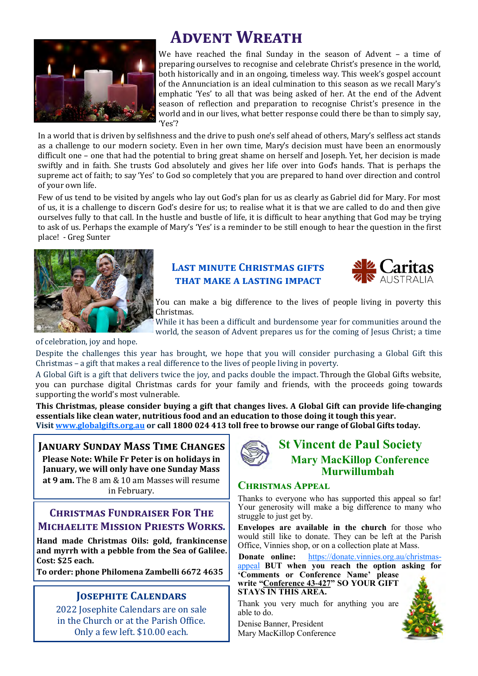

# **Advent Wreath**

We have reached the final Sunday in the season of Advent – a time of preparing ourselves to recognise and celebrate Christ's presence in the world, both historically and in an ongoing, timeless way. This week's gospel account of the Annunciation is an ideal culmination to this season as we recall Mary's emphatic 'Yes' to all that was being asked of her. At the end of the Advent season of reflection and preparation to recognise Christ's presence in the world and in our lives, what better response could there be than to simply say, 'Yes'?

In a world that is driven by selfishness and the drive to push one's self ahead of others, Mary's selfless act stands as a challenge to our modern society. Even in her own time, Mary's decision must have been an enormously difficult one – one that had the potential to bring great shame on herself and Joseph. Yet, her decision is made swiftly and in faith. She trusts God absolutely and gives her life over into God's hands. That is perhaps the supreme act of faith; to say 'Yes' to God so completely that you are prepared to hand over direction and control of your own life.

Few of us tend to be visited by angels who lay out God's plan for us as clearly as Gabriel did for Mary. For most of us, it is a challenge to discern God's desire for us; to realise what it is that we are called to do and then give ourselves fully to that call. In the hustle and bustle of life, it is difficult to hear anything that God may be trying to ask of us. Perhaps the example of Mary's 'Yes' is a reminder to be still enough to hear the question in the first place! - Greg Sunter



#### **Last minute Christmas gifts that make a lasting impact**



You can make a big difference to the lives of people living in poverty this Christmas.

While it has been a difficult and burdensome year for communities around the world, the season of Advent prepares us for the coming of Jesus Christ; a time

of celebration, joy and hope.

Despite the challenges this year has brought, we hope that you will consider purchasing a Global Gift this Christmas – a gift that makes a real difference to the lives of people living in poverty.

A Global Gift is a gift that delivers twice the joy, and packs double the impact. Through the Global Gifts website, you can purchase digital Christmas cards for your family and friends, with the proceeds going towards supporting the world's most vulnerable.

**This Christmas, please consider buying a gift that changes lives. A Global Gift can provide life-changing essentials like clean water, nutritious food and an education to those doing it tough this year. Visit [www.globalgifts.org.au](http://www.globalgifts.org.au) or call 1800 024 413 toll free to browse our range of Global Gifts today.**

#### **January Sunday Mass Time Changes Please Note: While Fr Peter is on holidays in**

**January, we will only have one Sunday Mass at 9 am.** The 8 am & 10 am Masses will resume in February.

#### **Christmas Fundraiser For The Michaelite Mission Priests Works.**

**Hand made Christmas Oils: gold, frankincense and myrrh with a pebble from the Sea of Galilee. Cost: \$25 each.** 

**To order: phone Philomena Zambelli 6672 4635**

#### **Josephite Calendars**

2022 Josephite Calendars are on sale in the Church or at the Parish Office. Only a few left. \$10.00 each.



#### **Christmas Appeal**

Thanks to everyone who has supported this appeal so far! Your generosity will make a big difference to many who struggle to just get by.

**Envelopes are available in the church** for those who would still like to donate. They can be left at the Parish Office, Vinnies shop, or on a collection plate at Mass.

**Donate online:** [https://donate.vinnies.org.au/christmas](https://donate.vinnies.org.au/christmas-appeal)[appeal](https://donate.vinnies.org.au/christmas-appeal) **BUT when you reach the option asking for 'Comments or Conference Name' please** 

**write "Conference 43-427" SO YOUR GIFT STAYS IN THIS AREA.** 

Thank you very much for anything you are able to do.

Denise Banner, President Mary MacKillop Conference